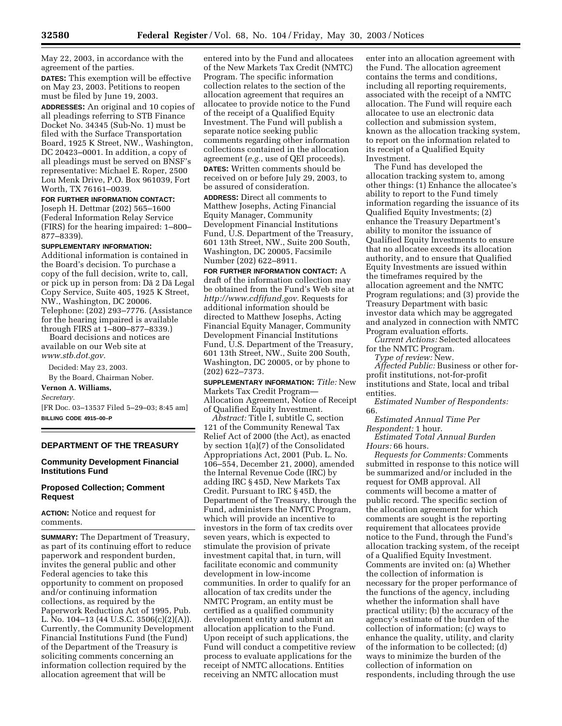May 22, 2003, in accordance with the agreement of the parties.

**DATES:** This exemption will be effective on May 23, 2003. Petitions to reopen must be filed by June 19, 2003. **ADDRESSES:** An original and 10 copies of all pleadings referring to STB Finance Docket No. 34345 (Sub-No. 1) must be filed with the Surface Transportation Board, 1925 K Street, NW., Washington, DC 20423–0001. In addition, a copy of all pleadings must be served on BNSF's representative: Michael E. Roper, 2500 Lou Menk Drive, P.O. Box 961039, Fort Worth, TX 76161–0039.

**FOR FURTHER INFORMATION CONTACT:** Joseph H. Dettmar (202) 565–1600 (Federal Information Relay Service (FIRS) for the hearing impaired: 1–800– 877–8339).

### **SUPPLEMENTARY INFORMATION:**

Additional information is contained in the Board's decision. To purchase a copy of the full decision, write to, call, or pick up in person from: Da¯ 2 Da¯ Legal Copy Service, Suite 405, 1925 K Street, NW., Washington, DC 20006. Telephone: (202) 293–7776. (Assistance for the hearing impaired is available through FIRS at 1–800–877–8339.)

Board decisions and notices are available on our Web site at *www.stb.dot.gov.*

Decided: May 23, 2003. By the Board, Chairman Nober.

### **Vernon A. Williams,**

*Secretary.*

[FR Doc. 03–13537 Filed 5–29–03; 8:45 am] **BILLING CODE 4915–00–P**

# **DEPARTMENT OF THE TREASURY**

## **Community Development Financial Institutions Fund**

## **Proposed Collection; Comment Request**

**ACTION:** Notice and request for comments.

**SUMMARY:** The Department of Treasury, as part of its continuing effort to reduce paperwork and respondent burden, invites the general public and other Federal agencies to take this opportunity to comment on proposed and/or continuing information collections, as required by the Paperwork Reduction Act of 1995, Pub. L. No. 104–13 (44 U.S.C. 3506(c)(2)(A)). Currently, the Community Development Financial Institutions Fund (the Fund) of the Department of the Treasury is soliciting comments concerning an information collection required by the allocation agreement that will be

entered into by the Fund and allocatees of the New Markets Tax Credit (NMTC) Program. The specific information collection relates to the section of the allocation agreement that requires an allocatee to provide notice to the Fund of the receipt of a Qualified Equity Investment. The Fund will publish a separate notice seeking public comments regarding other information collections contained in the allocation agreement (*e.g.*, use of QEI proceeds). **DATES:** Written comments should be received on or before July 29, 2003, to be assured of consideration.

**ADDRESS:** Direct all comments to Matthew Josephs, Acting Financial Equity Manager, Community Development Financial Institutions Fund, U.S. Department of the Treasury, 601 13th Street, NW., Suite 200 South, Washington, DC 20005, Facsimile Number (202) 622–8911.

**FOR FURTHER INFORMATION CONTACT:** A draft of the information collection may be obtained from the Fund's Web site at *http://www.cdfifund.gov.* Requests for additional information should be directed to Matthew Josephs, Acting Financial Equity Manager, Community Development Financial Institutions Fund, U.S. Department of the Treasury, 601 13th Street, NW., Suite 200 South, Washington, DC 20005, or by phone to (202) 622–7373.

**SUPPLEMENTARY INFORMATION:** *Title:* New Markets Tax Credit Program— Allocation Agreement, Notice of Receipt of Qualified Equity Investment.

*Abstract:* Title I, subtitle C, section 121 of the Community Renewal Tax Relief Act of 2000 (the Act), as enacted by section 1(a)(7) of the Consolidated Appropriations Act, 2001 (Pub. L. No. 106–554, December 21, 2000), amended the Internal Revenue Code (IRC) by adding IRC § 45D, New Markets Tax Credit. Pursuant to IRC § 45D, the Department of the Treasury, through the Fund, administers the NMTC Program, which will provide an incentive to investors in the form of tax credits over seven years, which is expected to stimulate the provision of private investment capital that, in turn, will facilitate economic and community development in low-income communities. In order to qualify for an allocation of tax credits under the NMTC Program, an entity must be certified as a qualified community development entity and submit an allocation application to the Fund. Upon receipt of such applications, the Fund will conduct a competitive review process to evaluate applications for the receipt of NMTC allocations. Entities receiving an NMTC allocation must

enter into an allocation agreement with the Fund. The allocation agreement contains the terms and conditions, including all reporting requirements, associated with the receipt of a NMTC allocation. The Fund will require each allocatee to use an electronic data collection and submission system, known as the allocation tracking system, to report on the information related to its receipt of a Qualified Equity Investment.

The Fund has developed the allocation tracking system to, among other things: (1) Enhance the allocatee's ability to report to the Fund timely information regarding the issuance of its Qualified Equity Investments; (2) enhance the Treasury Department's ability to monitor the issuance of Qualified Equity Investments to ensure that no allocatee exceeds its allocation authority, and to ensure that Qualified Equity Investments are issued within the timeframes required by the allocation agreement and the NMTC Program regulations; and (3) provide the Treasury Department with basic investor data which may be aggregated and analyzed in connection with NMTC Program evaluation efforts.

*Current Actions:* Selected allocatees for the NMTC Program.

*Type of review:* New.

*Affected Public:* Business or other forprofit institutions, not-for-profit institutions and State, local and tribal entities.

*Estimated Number of Respondents:* 66.

*Estimated Annual Time Per Respondent:* 1 hour.

*Estimated Total Annual Burden Hours:* 66 hours.

*Requests for Comments:* Comments submitted in response to this notice will be summarized and/or included in the request for OMB approval. All comments will become a matter of public record. The specific section of the allocation agreement for which comments are sought is the reporting requirement that allocatees provide notice to the Fund, through the Fund's allocation tracking system, of the receipt of a Qualified Equity Investment. Comments are invited on: (a) Whether the collection of information is necessary for the proper performance of the functions of the agency, including whether the information shall have practical utility; (b) the accuracy of the agency's estimate of the burden of the collection of information; (c) ways to enhance the quality, utility, and clarity of the information to be collected; (d) ways to minimize the burden of the collection of information on respondents, including through the use